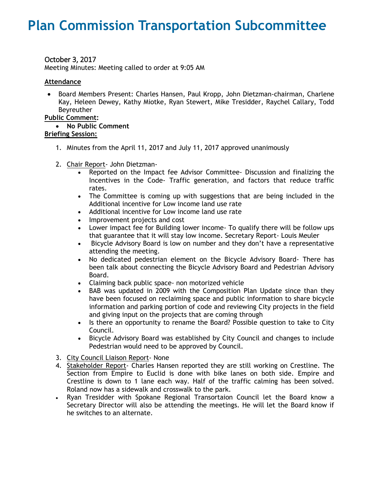# **Plan Commission Transportation Subcommittee**

# October 3, 2017

Meeting Minutes: Meeting called to order at 9:05 AM

## **Attendance**

 Board Members Present: Charles Hansen, Paul Kropp, John Dietzman-chairman, Charlene Kay, Heleen Dewey, Kathy Miotke, Ryan Stewert, Mike Tresidder, Raychel Callary, Todd Beyreuther

### **Public Comment:**

 **No Public Comment Briefing Session:** 

- 1. Minutes from the April 11, 2017 and July 11, 2017 approved unanimously
- 2. Chair Report- John Dietzman-
	- Reported on the Impact fee Advisor Committee- Discussion and finalizing the Incentives in the Code- Traffic generation, and factors that reduce traffic rates.
	- The Committee is coming up with suggestions that are being included in the Additional incentive for Low income land use rate
	- Additional incentive for Low income land use rate
	- Improvement projects and cost
	- Lower impact fee for Building lower income- To qualify there will be follow ups that guarantee that it will stay low income. Secretary Report- Louis Meuler
	- Bicycle Advisory Board is low on number and they don't have a representative attending the meeting.
	- No dedicated pedestrian element on the Bicycle Advisory Board- There has been talk about connecting the Bicycle Advisory Board and Pedestrian Advisory Board.
	- Claiming back public space- non motorized vehicle
	- BAB was updated in 2009 with the Composition Plan Update since than they have been focused on reclaiming space and public information to share bicycle information and parking portion of code and reviewing City projects in the field and giving input on the projects that are coming through
	- Is there an opportunity to rename the Board? Possible question to take to City Council.
	- Bicycle Advisory Board was established by City Council and changes to include Pedestrian would need to be approved by Council.
- 3. City Council Liaison Report- None
- 4. Stakeholder Report- Charles Hansen reported they are still working on Crestline. The Section from Empire to Euclid is done with bike lanes on both side. Empire and Crestline is down to 1 lane each way. Half of the traffic calming has been solved. Roland now has a sidewalk and crosswalk to the park.
- Ryan Tresidder with Spokane Regional Transortaion Council let the Board know a Secretary Director will also be attending the meetings. He will let the Board know if he switches to an alternate.